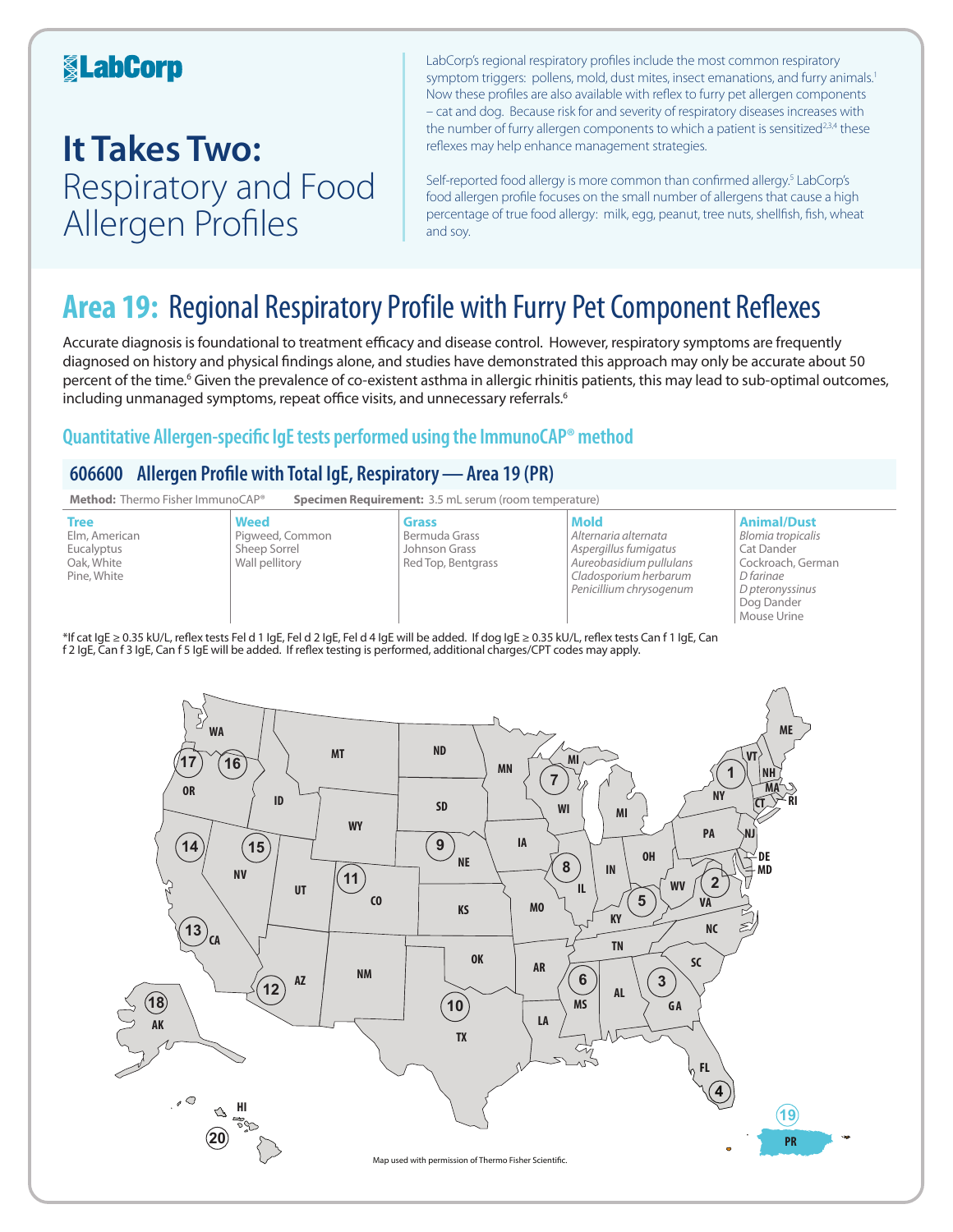### **KabCorp**

## **It Takes Two:**  Respiratory and Food Allergen Profiles

**20**

**HI**

**18**

**AK**

 $\mathcal{O}$ 

LabCorp's regional respiratory profiles include the most common respiratory symptom triggers: pollens, mold, dust mites, insect emanations, and furry animals.<sup>1</sup> Now these profiles are also available with reflex to furry pet allergen components – cat and dog. Because risk for and severity of respiratory diseases increases with the number of furry allergen components to which a patient is sensitized<sup>2,3,4</sup> these reflexes may help enhance management strategies.

Self-reported food allergy is more common than confirmed allergy.<sup>5</sup> LabCorp's food allergen profile focuses on the small number of allergens that cause a high percentage of true food allergy: milk, egg, peanut, tree nuts, shellfish, fish, wheat and soy.

**19**

**PR**

## **Area 19:** Regional Respiratory Profile with Furry Pet Component Reflexes

Accurate diagnosis is foundational to treatment efficacy and disease control. However, respiratory symptoms are frequently diagnosed on history and physical findings alone, and studies have demonstrated this approach may only be accurate about 50 percent of the time.<sup>6</sup> Given the prevalence of co-existent asthma in allergic rhinitis patients, this may lead to sub-optimal outcomes, including unmanaged symptoms, repeat office visits, and unnecessary referrals.<sup>6</sup>

### **Quantitative Allergen-specific IgE tests performed using the ImmunoCAP® method**

### **606600 Allergen Profile with Total IgE, Respiratory—Area 19 (PR)**



**10**

**TX**

Map used with permission of Thermo Fisher Scientic.

**MS**

**LA**

**GA**

**4 FL**